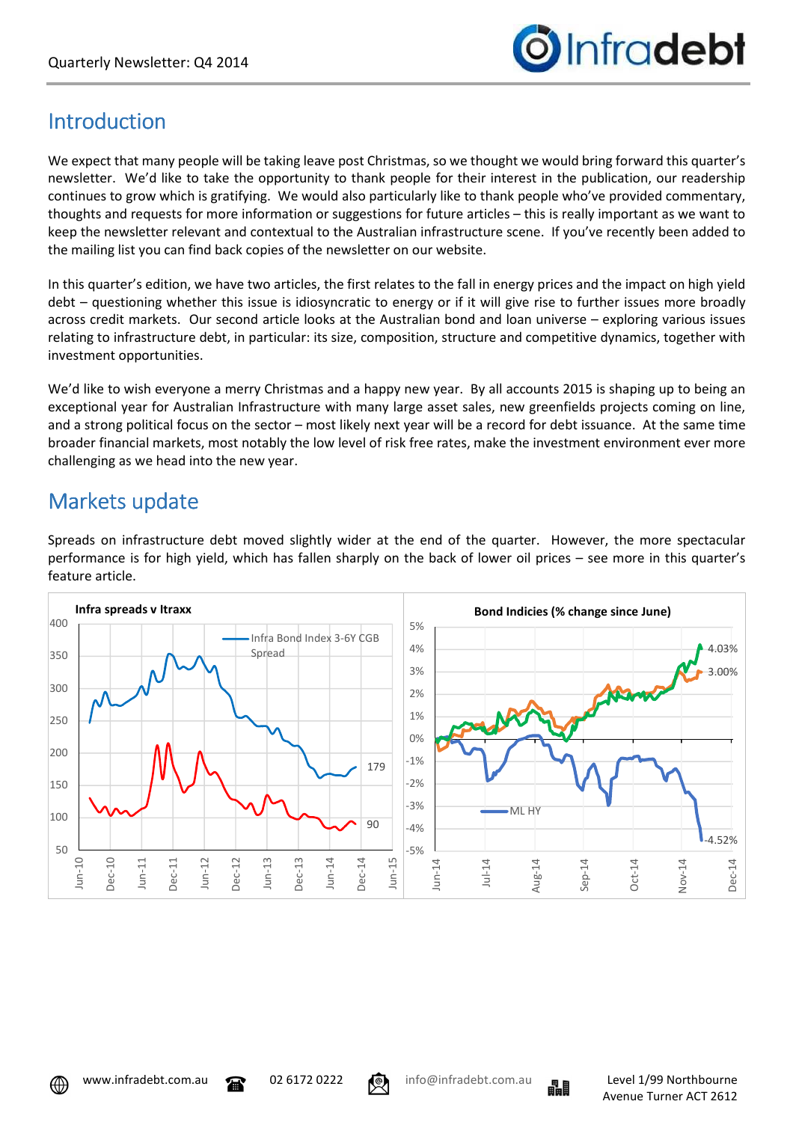

## Introduction

We expect that many people will be taking leave post Christmas, so we thought we would bring forward this quarter's newsletter. We'd like to take the opportunity to thank people for their interest in the publication, our readership continues to grow which is gratifying. We would also particularly like to thank people who've provided commentary, thoughts and requests for more information or suggestions for future articles – this is really important as we want to keep the newsletter relevant and contextual to the Australian infrastructure scene. If you've recently been added to the mailing list you can find back copies of the newsletter on our website.

In this quarter's edition, we have two articles, the first relates to the fall in energy prices and the impact on high yield debt – questioning whether this issue is idiosyncratic to energy or if it will give rise to further issues more broadly across credit markets. Our second article looks at the Australian bond and loan universe – exploring various issues relating to infrastructure debt, in particular: its size, composition, structure and competitive dynamics, together with investment opportunities.

We'd like to wish everyone a merry Christmas and a happy new year. By all accounts 2015 is shaping up to being an exceptional year for Australian Infrastructure with many large asset sales, new greenfields projects coming on line, and a strong political focus on the sector – most likely next year will be a record for debt issuance. At the same time broader financial markets, most notably the low level of risk free rates, make the investment environment ever more challenging as we head into the new year.

### Markets update

Spreads on infrastructure debt moved slightly wider at the end of the quarter. However, the more spectacular performance is for high yield, which has fallen sharply on the back of lower oil prices – see more in this quarter's feature article.





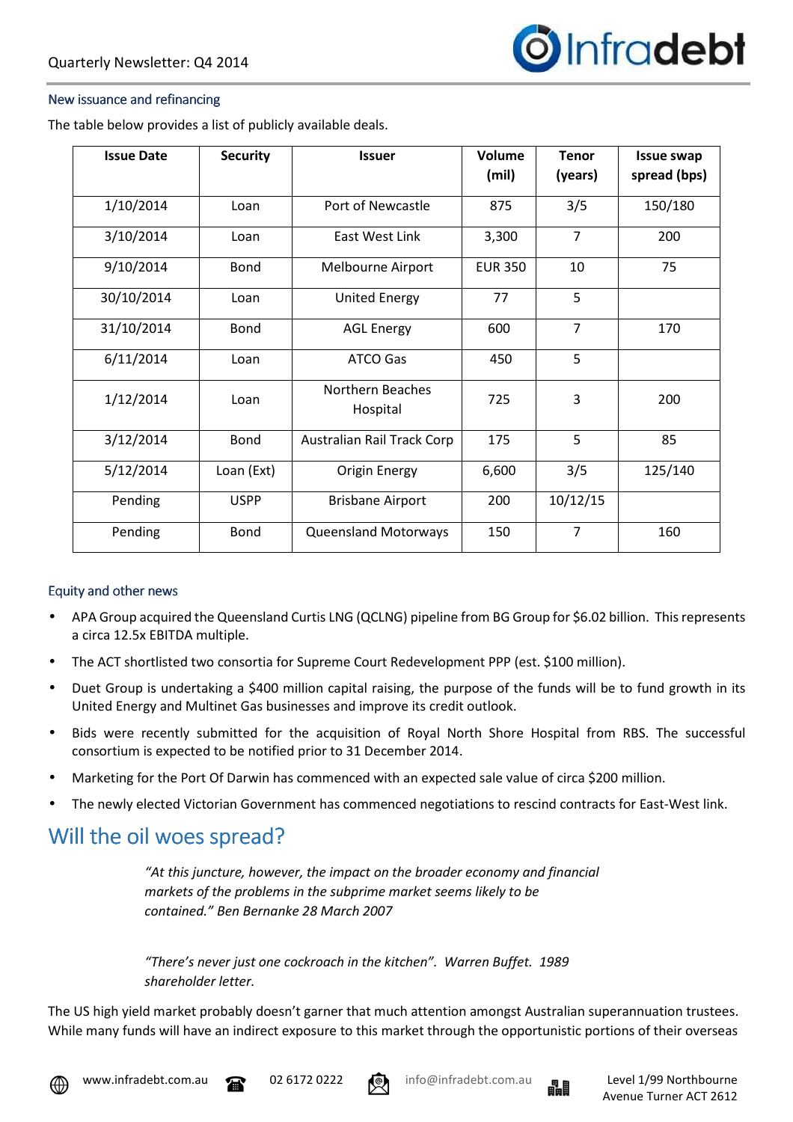

#### New issuance and refinancing

The table below provides a list of publicly available deals.

| <b>Issue Date</b> | <b>Security</b> | <b>Issuer</b>                | Volume<br>(mil) | <b>Tenor</b><br>(years) | <b>Issue swap</b><br>spread (bps) |
|-------------------|-----------------|------------------------------|-----------------|-------------------------|-----------------------------------|
| 1/10/2014         | Loan            | Port of Newcastle            | 875             | 3/5                     | 150/180                           |
| 3/10/2014         | Loan            | East West Link               | 3,300           | $\overline{7}$          | 200                               |
| 9/10/2014         | <b>Bond</b>     | Melbourne Airport            | <b>EUR 350</b>  | 10                      | 75                                |
| 30/10/2014        | Loan            | <b>United Energy</b>         | 77              | 5                       |                                   |
| 31/10/2014        | Bond            | <b>AGL Energy</b>            | 600             | $\overline{7}$          | 170                               |
| 6/11/2014         | Loan            | <b>ATCO Gas</b>              | 450             | 5                       |                                   |
| 1/12/2014         | Loan            | Northern Beaches<br>Hospital | 725             | 3                       | 200                               |
| 3/12/2014         | Bond            | Australian Rail Track Corp   | 175             | 5                       | 85                                |
| 5/12/2014         | Loan (Ext)      | Origin Energy                | 6,600           | 3/5                     | 125/140                           |
| Pending           | <b>USPP</b>     | <b>Brisbane Airport</b>      | 200             | 10/12/15                |                                   |
| Pending           | <b>Bond</b>     | <b>Queensland Motorways</b>  | 150             | $\overline{7}$          | 160                               |

#### Equity and other news

- APA Group acquired the Queensland Curtis LNG (QCLNG) pipeline from BG Group for \$6.02 billion. This represents a circa 12.5x EBITDA multiple.
- The ACT shortlisted two consortia for Supreme Court Redevelopment PPP (est. \$100 million).
- Duet Group is undertaking a \$400 million capital raising, the purpose of the funds will be to fund growth in its United Energy and Multinet Gas businesses and improve its credit outlook.
- Bids were recently submitted for the acquisition of Royal North Shore Hospital from RBS. The successful consortium is expected to be notified prior to 31 December 2014.
- Marketing for the Port Of Darwin has commenced with an expected sale value of circa \$200 million.
- The newly elected Victorian Government has commenced negotiations to rescind contracts for East-West link.

### Will the oil woes spread?

*"At this juncture, however, the impact on the broader economy and financial markets of the problems in the subprime market seems likely to be contained." Ben Bernanke 28 March 2007* 

*"There's never just one cockroach in the kitchen". Warren Buffet. 1989 shareholder letter.* 

The US high yield market probably doesn't garner that much attention amongst Australian superannuation trustees. While many funds will have an indirect exposure to this market through the opportunistic portions of their overseas



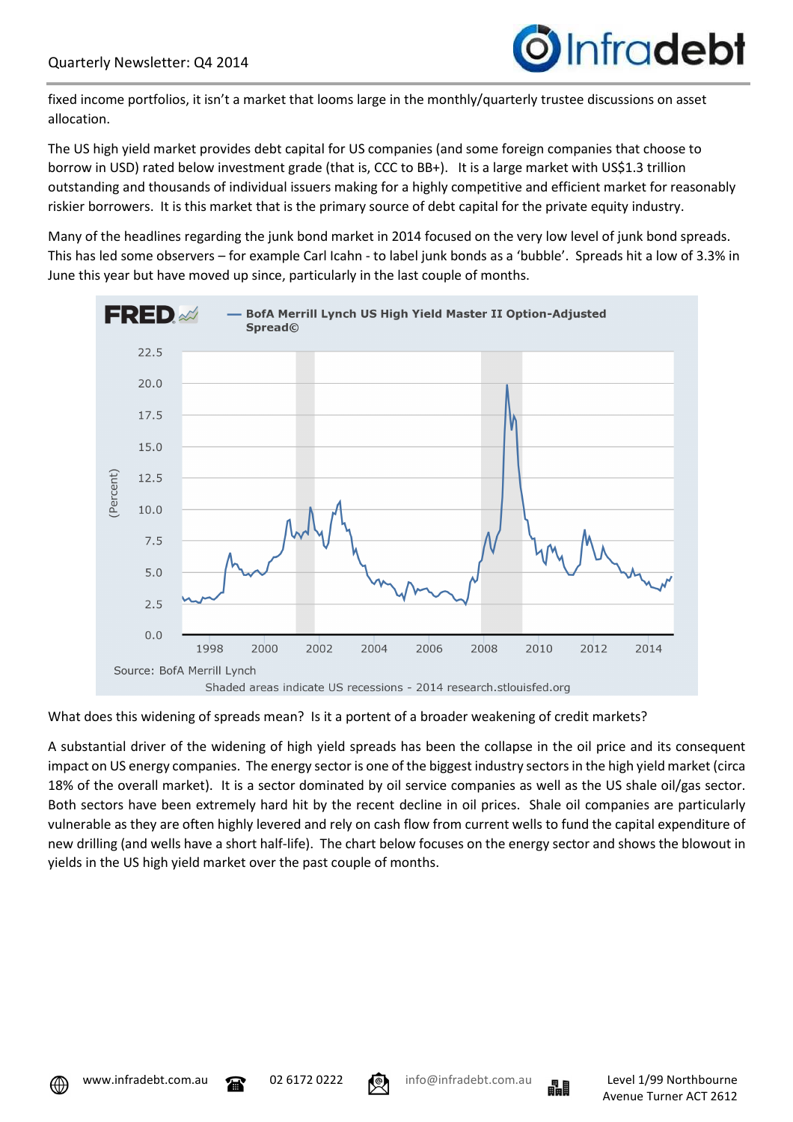

fixed income portfolios, it isn't a market that looms large in the monthly/quarterly trustee discussions on asset allocation.

The US high yield market provides debt capital for US companies (and some foreign companies that choose to borrow in USD) rated below investment grade (that is, CCC to BB+). It is a large market with US\$1.3 trillion outstanding and thousands of individual issuers making for a highly competitive and efficient market for reasonably riskier borrowers. It is this market that is the primary source of debt capital for the private equity industry.

Many of the headlines regarding the junk bond market in 2014 focused on the very low level of junk bond spreads. This has led some observers – for example Carl Icahn - to label junk bonds as a 'bubble'. Spreads hit a low of 3.3% in June this year but have moved up since, particularly in the last couple of months.



### What does this widening of spreads mean? Is it a portent of a broader weakening of credit markets?

A substantial driver of the widening of high yield spreads has been the collapse in the oil price and its consequent impact on US energy companies. The energy sector is one of the biggest industry sectors in the high yield market (circa 18% of the overall market). It is a sector dominated by oil service companies as well as the US shale oil/gas sector. Both sectors have been extremely hard hit by the recent decline in oil prices. Shale oil companies are particularly vulnerable as they are often highly levered and rely on cash flow from current wells to fund the capital expenditure of new drilling (and wells have a short half-life). The chart below focuses on the energy sector and shows the blowout in yields in the US high yield market over the past couple of months.





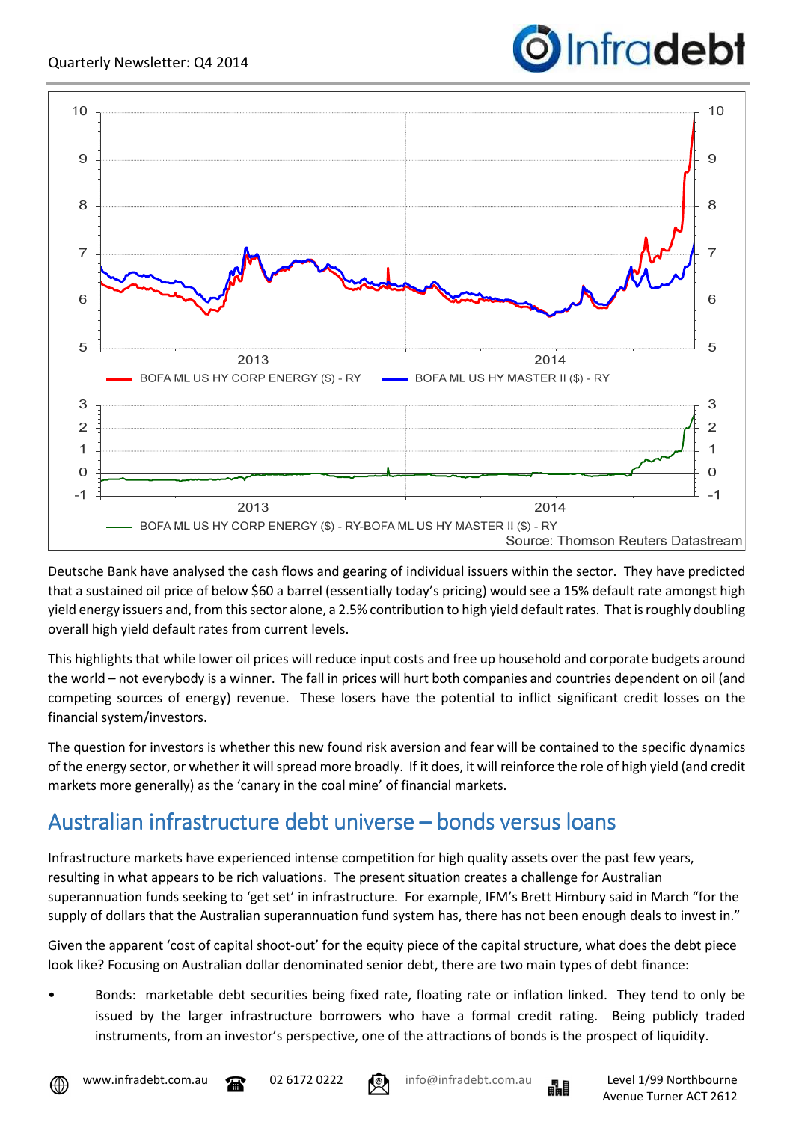

Deutsche Bank have analysed the cash flows and gearing of individual issuers within the sector. They have predicted that a sustained oil price of below \$60 a barrel (essentially today's pricing) would see a 15% default rate amongst high yield energy issuers and, from this sector alone, a 2.5% contribution to high yield default rates. That is roughly doubling overall high yield default rates from current levels.

This highlights that while lower oil prices will reduce input costs and free up household and corporate budgets around the world – not everybody is a winner. The fall in prices will hurt both companies and countries dependent on oil (and competing sources of energy) revenue. These losers have the potential to inflict significant credit losses on the financial system/investors.

The question for investors is whether this new found risk aversion and fear will be contained to the specific dynamics of the energy sector, or whether it will spread more broadly. If it does, it will reinforce the role of high yield (and credit markets more generally) as the 'canary in the coal mine' of financial markets.

# Australian infrastructure debt universe – bonds versus loans

Infrastructure markets have experienced intense competition for high quality assets over the past few years, resulting in what appears to be rich valuations. The present situation creates a challenge for Australian superannuation funds seeking to 'get set' in infrastructure. For example, IFM's Brett Himbury said in March "for the supply of dollars that the Australian superannuation fund system has, there has not been enough deals to invest in."

Given the apparent 'cost of capital shoot-out' for the equity piece of the capital structure, what does the debt piece look like? Focusing on Australian dollar denominated senior debt, there are two main types of debt finance:

• Bonds: marketable debt securities being fixed rate, floating rate or inflation linked. They tend to only be issued by the larger infrastructure borrowers who have a formal credit rating. Being publicly traded instruments, from an investor's perspective, one of the attractions of bonds is the prospect of liquidity.







Infradebt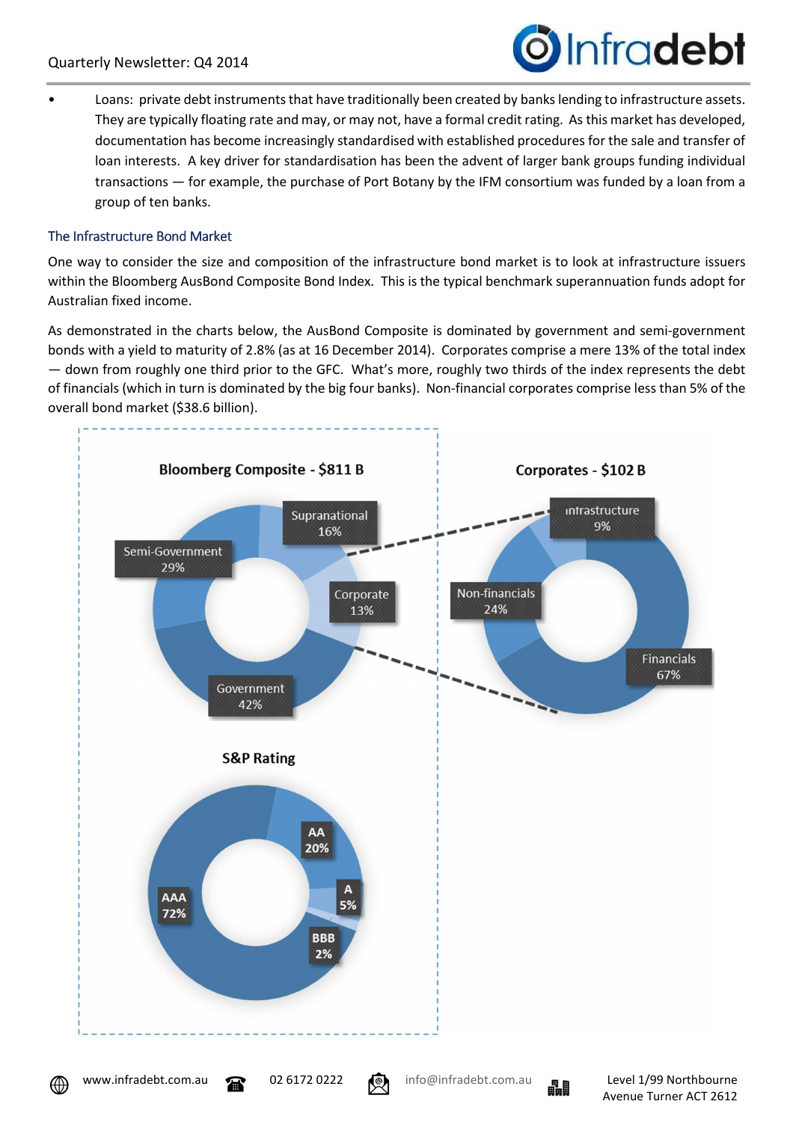

• Loans: private debt instruments that have traditionally been created by banks lending to infrastructure assets. They are typically floating rate and may, or may not, have a formal credit rating. As this market has developed, documentation has become increasingly standardised with established procedures for the sale and transfer of loan interests. A key driver for standardisation has been the advent of larger bank groups funding individual transactions — for example, the purchase of Port Botany by the IFM consortium was funded by a loan from a group of ten banks.

### The Infrastructure Bond Market

One way to consider the size and composition of the infrastructure bond market is to look at infrastructure issuers within the Bloomberg AusBond Composite Bond Index. This is the typical benchmark superannuation funds adopt for Australian fixed income.

As demonstrated in the charts below, the AusBond Composite is dominated by government and semi-government bonds with a yield to maturity of 2.8% (as at 16 December 2014). Corporates comprise a mere 13% of the total index — down from roughly one third prior to the GFC. What's more, roughly two thirds of the index represents the debt of financials (which in turn is dominated by the big four banks). Non-financial corporates comprise less than 5% of the overall bond market (\$38.6 billion).



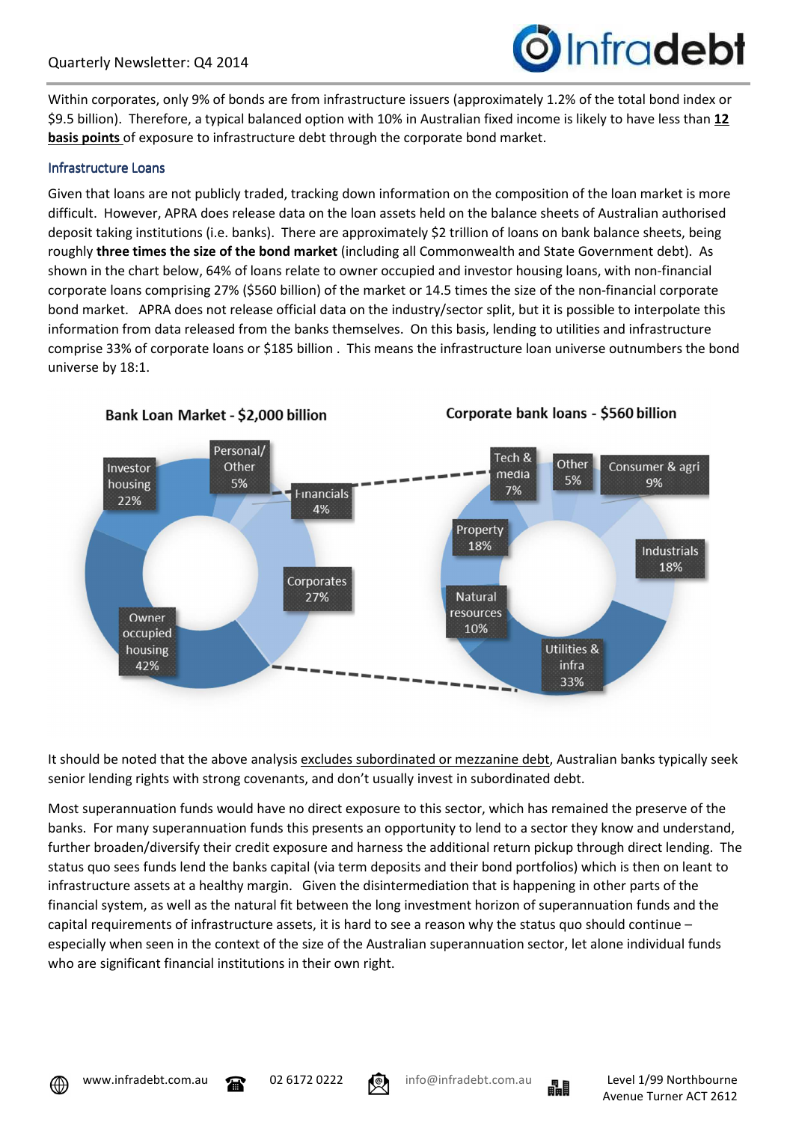

Within corporates, only 9% of bonds are from infrastructure issuers (approximately 1.2% of the total bond index or \$9.5 billion). Therefore, a typical balanced option with 10% in Australian fixed income is likely to have less than **12 basis points** of exposure to infrastructure debt through the corporate bond market.

#### Infrastructure Loans

Given that loans are not publicly traded, tracking down information on the composition of the loan market is more difficult. However, APRA does release data on the loan assets held on the balance sheets of Australian authorised deposit taking institutions (i.e. banks). There are approximately \$2 trillion of loans on bank balance sheets, being roughly **three times the size of the bond market** (including all Commonwealth and State Government debt). As shown in the chart below, 64% of loans relate to owner occupied and investor housing loans, with non-financial corporate loans comprising 27% (\$560 billion) of the market or 14.5 times the size of the non-financial corporate bond market. APRA does not release official data on the industry/sector split, but it is possible to interpolate this information from data released from the banks themselves. On this basis, lending to utilities and infrastructure comprise 33% of corporate loans or \$185 billion . This means the infrastructure loan universe outnumbers the bond universe by 18:1.



Corporate bank loans - \$560 billion

It should be noted that the above analysis excludes subordinated or mezzanine debt, Australian banks typically seek senior lending rights with strong covenants, and don't usually invest in subordinated debt.

Most superannuation funds would have no direct exposure to this sector, which has remained the preserve of the banks. For many superannuation funds this presents an opportunity to lend to a sector they know and understand, further broaden/diversify their credit exposure and harness the additional return pickup through direct lending. The status quo sees funds lend the banks capital (via term deposits and their bond portfolios) which is then on leant to infrastructure assets at a healthy margin. Given the disintermediation that is happening in other parts of the financial system, as well as the natural fit between the long investment horizon of superannuation funds and the capital requirements of infrastructure assets, it is hard to see a reason why the status quo should continue – especially when seen in the context of the size of the Australian superannuation sector, let alone individual funds who are significant financial institutions in their own right.